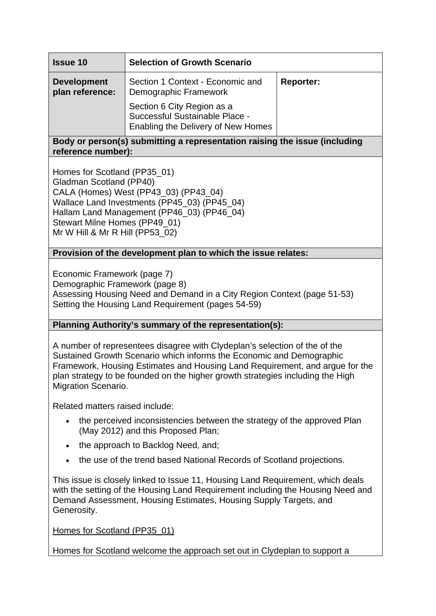| <b>Issue 10</b>                                                                                  | <b>Selection of Growth Scenario</b>                                                                |                  |
|--------------------------------------------------------------------------------------------------|----------------------------------------------------------------------------------------------------|------------------|
| <b>Development</b><br>plan reference:                                                            | Section 1 Context - Economic and<br>Demographic Framework                                          | <b>Reporter:</b> |
|                                                                                                  | Section 6 City Region as a<br>Successful Sustainable Place -<br>Enabling the Delivery of New Homes |                  |
| Body or person(s) submitting a representation raising the issue (including<br>reference number): |                                                                                                    |                  |
| Homes for Scotland (PP35_01)<br>Gladman Scotland (PP40)                                          |                                                                                                    |                  |

CALA (Homes) West (PP43\_03) (PP43\_04) Wallace Land Investments (PP45\_03) (PP45\_04) Hallam Land Management (PP46\_03) (PP46\_04) Stewart Milne Homes (PP49\_01) Mr W Hill & Mr R Hill (PP53\_02)

# **Provision of the development plan to which the issue relates:**

Economic Framework (page 7) Demographic Framework (page 8) Assessing Housing Need and Demand in a City Region Context (page 51-53) Setting the Housing Land Requirement (pages 54-59)

# **Planning Authority's summary of the representation(s):**

A number of representees disagree with Clydeplan's selection of the of the Sustained Growth Scenario which informs the Economic and Demographic Framework, Housing Estimates and Housing Land Requirement, and argue for the plan strategy to be founded on the higher growth strategies including the High Migration Scenario.

Related matters raised include:

- the perceived inconsistencies between the strategy of the approved Plan (May 2012) and this Proposed Plan;
- the approach to Backlog Need, and:
- the use of the trend based National Records of Scotland projections.

This issue is closely linked to Issue 11, Housing Land Requirement, which deals with the setting of the Housing Land Requirement including the Housing Need and Demand Assessment, Housing Estimates, Housing Supply Targets, and Generosity.

Homes for Scotland (PP35\_01)

Homes for Scotland welcome the approach set out in Clydeplan to support a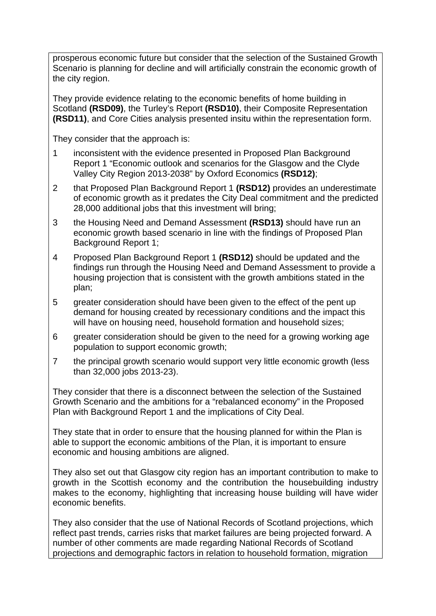prosperous economic future but consider that the selection of the Sustained Growth Scenario is planning for decline and will artificially constrain the economic growth of the city region.

They provide evidence relating to the economic benefits of home building in Scotland **(RSD09)**, the Turley's Report **(RSD10)**, their Composite Representation **(RSD11)**, and Core Cities analysis presented insitu within the representation form.

They consider that the approach is:

- 1 inconsistent with the evidence presented in Proposed Plan Background Report 1 "Economic outlook and scenarios for the Glasgow and the Clyde Valley City Region 2013-2038" by Oxford Economics **(RSD12)**;
- 2 that Proposed Plan Background Report 1 **(RSD12)** provides an underestimate of economic growth as it predates the City Deal commitment and the predicted 28,000 additional jobs that this investment will bring;
- 3 the Housing Need and Demand Assessment **(RSD13)** should have run an economic growth based scenario in line with the findings of Proposed Plan Background Report 1;
- 4 Proposed Plan Background Report 1 **(RSD12)** should be updated and the findings run through the Housing Need and Demand Assessment to provide a housing projection that is consistent with the growth ambitions stated in the plan;
- 5 greater consideration should have been given to the effect of the pent up demand for housing created by recessionary conditions and the impact this will have on housing need, household formation and household sizes;
- 6 greater consideration should be given to the need for a growing working age population to support economic growth;
- 7 the principal growth scenario would support very little economic growth (less than 32,000 jobs 2013-23).

They consider that there is a disconnect between the selection of the Sustained Growth Scenario and the ambitions for a "rebalanced economy" in the Proposed Plan with Background Report 1 and the implications of City Deal.

They state that in order to ensure that the housing planned for within the Plan is able to support the economic ambitions of the Plan, it is important to ensure economic and housing ambitions are aligned.

They also set out that Glasgow city region has an important contribution to make to growth in the Scottish economy and the contribution the housebuilding industry makes to the economy, highlighting that increasing house building will have wider economic benefits.

They also consider that the use of National Records of Scotland projections, which reflect past trends, carries risks that market failures are being projected forward. A number of other comments are made regarding National Records of Scotland projections and demographic factors in relation to household formation, migration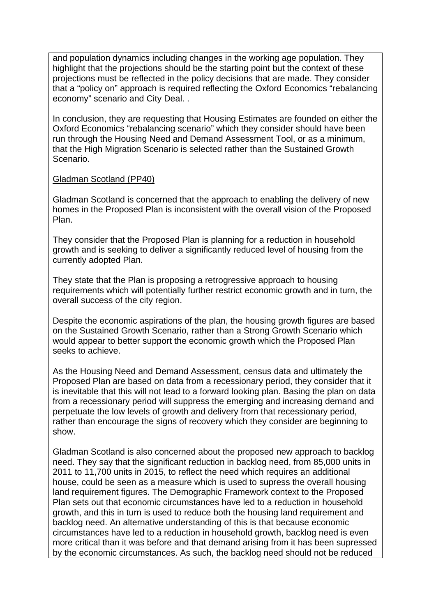and population dynamics including changes in the working age population. They highlight that the projections should be the starting point but the context of these projections must be reflected in the policy decisions that are made. They consider that a "policy on" approach is required reflecting the Oxford Economics "rebalancing economy" scenario and City Deal. .

In conclusion, they are requesting that Housing Estimates are founded on either the Oxford Economics "rebalancing scenario" which they consider should have been run through the Housing Need and Demand Assessment Tool, or as a minimum, that the High Migration Scenario is selected rather than the Sustained Growth Scenario.

### Gladman Scotland (PP40)

Gladman Scotland is concerned that the approach to enabling the delivery of new homes in the Proposed Plan is inconsistent with the overall vision of the Proposed Plan.

They consider that the Proposed Plan is planning for a reduction in household growth and is seeking to deliver a significantly reduced level of housing from the currently adopted Plan.

They state that the Plan is proposing a retrogressive approach to housing requirements which will potentially further restrict economic growth and in turn, the overall success of the city region.

Despite the economic aspirations of the plan, the housing growth figures are based on the Sustained Growth Scenario, rather than a Strong Growth Scenario which would appear to better support the economic growth which the Proposed Plan seeks to achieve.

As the Housing Need and Demand Assessment, census data and ultimately the Proposed Plan are based on data from a recessionary period, they consider that it is inevitable that this will not lead to a forward looking plan. Basing the plan on data from a recessionary period will suppress the emerging and increasing demand and perpetuate the low levels of growth and delivery from that recessionary period, rather than encourage the signs of recovery which they consider are beginning to show.

Gladman Scotland is also concerned about the proposed new approach to backlog need. They say that the significant reduction in backlog need, from 85,000 units in 2011 to 11,700 units in 2015, to reflect the need which requires an additional house, could be seen as a measure which is used to supress the overall housing land requirement figures. The Demographic Framework context to the Proposed Plan sets out that economic circumstances have led to a reduction in household growth, and this in turn is used to reduce both the housing land requirement and backlog need. An alternative understanding of this is that because economic circumstances have led to a reduction in household growth, backlog need is even more critical than it was before and that demand arising from it has been supressed by the economic circumstances. As such, the backlog need should not be reduced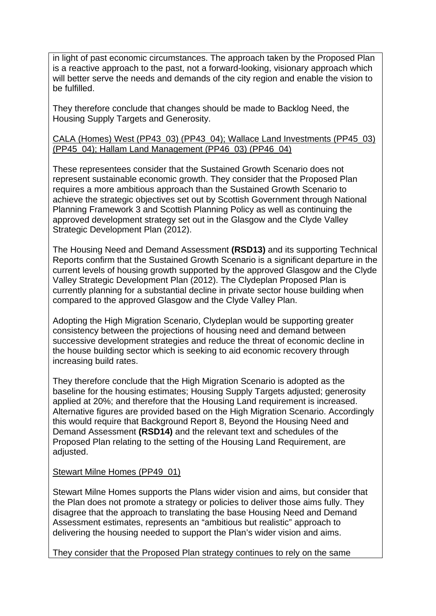in light of past economic circumstances. The approach taken by the Proposed Plan is a reactive approach to the past, not a forward-looking, visionary approach which will better serve the needs and demands of the city region and enable the vision to be fulfilled.

They therefore conclude that changes should be made to Backlog Need, the Housing Supply Targets and Generosity.

#### CALA (Homes) West (PP43\_03) (PP43\_04); Wallace Land Investments (PP45\_03) (PP45\_04); Hallam Land Management (PP46\_03) (PP46\_04)

These representees consider that the Sustained Growth Scenario does not represent sustainable economic growth. They consider that the Proposed Plan requires a more ambitious approach than the Sustained Growth Scenario to achieve the strategic objectives set out by Scottish Government through National Planning Framework 3 and Scottish Planning Policy as well as continuing the approved development strategy set out in the Glasgow and the Clyde Valley Strategic Development Plan (2012).

The Housing Need and Demand Assessment **(RSD13)** and its supporting Technical Reports confirm that the Sustained Growth Scenario is a significant departure in the current levels of housing growth supported by the approved Glasgow and the Clyde Valley Strategic Development Plan (2012). The Clydeplan Proposed Plan is currently planning for a substantial decline in private sector house building when compared to the approved Glasgow and the Clyde Valley Plan.

Adopting the High Migration Scenario, Clydeplan would be supporting greater consistency between the projections of housing need and demand between successive development strategies and reduce the threat of economic decline in the house building sector which is seeking to aid economic recovery through increasing build rates.

They therefore conclude that the High Migration Scenario is adopted as the baseline for the housing estimates; Housing Supply Targets adjusted; generosity applied at 20%; and therefore that the Housing Land requirement is increased. Alternative figures are provided based on the High Migration Scenario. Accordingly this would require that Background Report 8, Beyond the Housing Need and Demand Assessment **(RSD14)** and the relevant text and schedules of the Proposed Plan relating to the setting of the Housing Land Requirement, are adjusted.

#### Stewart Milne Homes (PP49\_01)

Stewart Milne Homes supports the Plans wider vision and aims, but consider that the Plan does not promote a strategy or policies to deliver those aims fully. They disagree that the approach to translating the base Housing Need and Demand Assessment estimates, represents an "ambitious but realistic" approach to delivering the housing needed to support the Plan's wider vision and aims.

They consider that the Proposed Plan strategy continues to rely on the same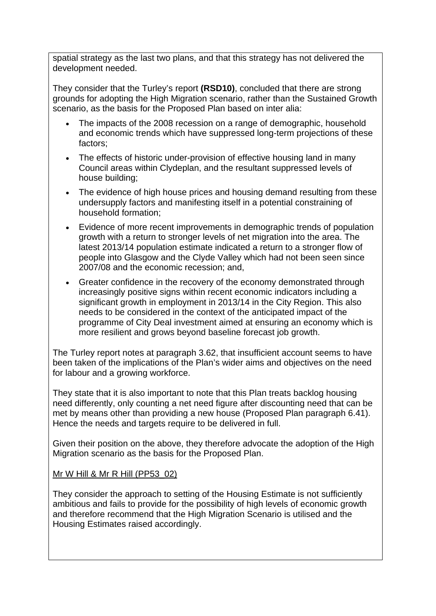spatial strategy as the last two plans, and that this strategy has not delivered the development needed.

They consider that the Turley's report **(RSD10)**, concluded that there are strong grounds for adopting the High Migration scenario, rather than the Sustained Growth scenario, as the basis for the Proposed Plan based on inter alia:

- The impacts of the 2008 recession on a range of demographic, household and economic trends which have suppressed long-term projections of these factors;
- The effects of historic under-provision of effective housing land in many Council areas within Clydeplan, and the resultant suppressed levels of house building;
- The evidence of high house prices and housing demand resulting from these undersupply factors and manifesting itself in a potential constraining of household formation;
- Evidence of more recent improvements in demographic trends of population growth with a return to stronger levels of net migration into the area. The latest 2013/14 population estimate indicated a return to a stronger flow of people into Glasgow and the Clyde Valley which had not been seen since 2007/08 and the economic recession; and,
- Greater confidence in the recovery of the economy demonstrated through increasingly positive signs within recent economic indicators including a significant growth in employment in 2013/14 in the City Region. This also needs to be considered in the context of the anticipated impact of the programme of City Deal investment aimed at ensuring an economy which is more resilient and grows beyond baseline forecast job growth.

The Turley report notes at paragraph 3.62, that insufficient account seems to have been taken of the implications of the Plan's wider aims and objectives on the need for labour and a growing workforce.

They state that it is also important to note that this Plan treats backlog housing need differently, only counting a net need figure after discounting need that can be met by means other than providing a new house (Proposed Plan paragraph 6.41). Hence the needs and targets require to be delivered in full.

Given their position on the above, they therefore advocate the adoption of the High Migration scenario as the basis for the Proposed Plan.

# Mr W Hill & Mr R Hill (PP53\_02)

They consider the approach to setting of the Housing Estimate is not sufficiently ambitious and fails to provide for the possibility of high levels of economic growth and therefore recommend that the High Migration Scenario is utilised and the Housing Estimates raised accordingly.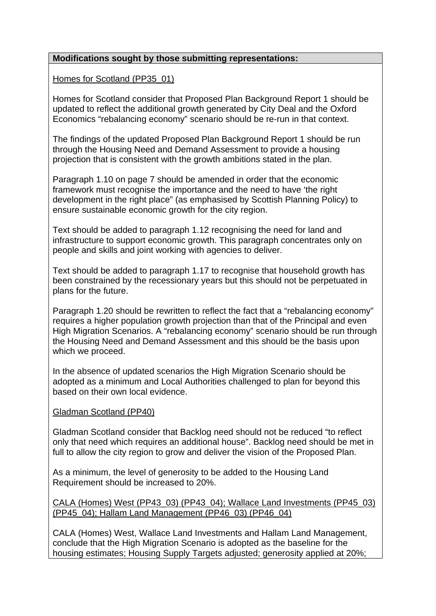### **Modifications sought by those submitting representations:**

Homes for Scotland (PP35\_01)

Homes for Scotland consider that Proposed Plan Background Report 1 should be updated to reflect the additional growth generated by City Deal and the Oxford Economics "rebalancing economy" scenario should be re-run in that context.

The findings of the updated Proposed Plan Background Report 1 should be run through the Housing Need and Demand Assessment to provide a housing projection that is consistent with the growth ambitions stated in the plan.

Paragraph 1.10 on page 7 should be amended in order that the economic framework must recognise the importance and the need to have 'the right development in the right place" (as emphasised by Scottish Planning Policy) to ensure sustainable economic growth for the city region.

Text should be added to paragraph 1.12 recognising the need for land and infrastructure to support economic growth. This paragraph concentrates only on people and skills and joint working with agencies to deliver.

Text should be added to paragraph 1.17 to recognise that household growth has been constrained by the recessionary years but this should not be perpetuated in plans for the future.

Paragraph 1.20 should be rewritten to reflect the fact that a "rebalancing economy" requires a higher population growth projection than that of the Principal and even High Migration Scenarios. A "rebalancing economy" scenario should be run through the Housing Need and Demand Assessment and this should be the basis upon which we proceed.

In the absence of updated scenarios the High Migration Scenario should be adopted as a minimum and Local Authorities challenged to plan for beyond this based on their own local evidence.

#### Gladman Scotland (PP40)

Gladman Scotland consider that Backlog need should not be reduced "to reflect only that need which requires an additional house". Backlog need should be met in full to allow the city region to grow and deliver the vision of the Proposed Plan.

As a minimum, the level of generosity to be added to the Housing Land Requirement should be increased to 20%.

#### CALA (Homes) West (PP43\_03) (PP43\_04); Wallace Land Investments (PP45\_03) (PP45\_04); Hallam Land Management (PP46\_03) (PP46\_04)

CALA (Homes) West, Wallace Land Investments and Hallam Land Management, conclude that the High Migration Scenario is adopted as the baseline for the housing estimates; Housing Supply Targets adjusted; generosity applied at 20%;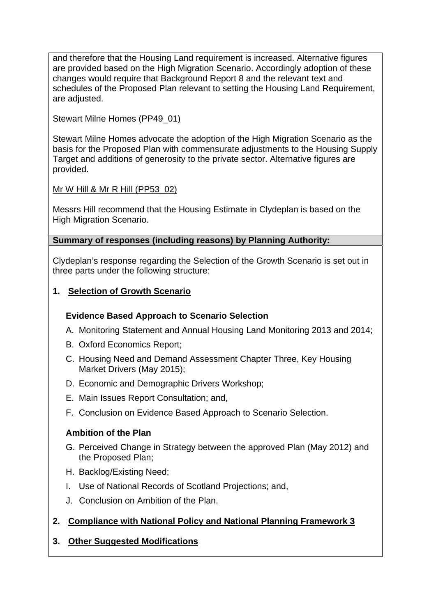and therefore that the Housing Land requirement is increased. Alternative figures are provided based on the High Migration Scenario. Accordingly adoption of these changes would require that Background Report 8 and the relevant text and schedules of the Proposed Plan relevant to setting the Housing Land Requirement, are adjusted.

# Stewart Milne Homes (PP49\_01)

Stewart Milne Homes advocate the adoption of the High Migration Scenario as the basis for the Proposed Plan with commensurate adjustments to the Housing Supply Target and additions of generosity to the private sector. Alternative figures are provided.

# Mr W Hill & Mr R Hill (PP53\_02)

Messrs Hill recommend that the Housing Estimate in Clydeplan is based on the High Migration Scenario.

# **Summary of responses (including reasons) by Planning Authority:**

Clydeplan's response regarding the Selection of the Growth Scenario is set out in three parts under the following structure:

# **1. Selection of Growth Scenario**

# **Evidence Based Approach to Scenario Selection**

- A. Monitoring Statement and Annual Housing Land Monitoring 2013 and 2014;
- B. Oxford Economics Report;
- C. Housing Need and Demand Assessment Chapter Three, Key Housing Market Drivers (May 2015);
- D. Economic and Demographic Drivers Workshop;
- E. Main Issues Report Consultation; and,
- F. Conclusion on Evidence Based Approach to Scenario Selection.

# **Ambition of the Plan**

- G. Perceived Change in Strategy between the approved Plan (May 2012) and the Proposed Plan;
- H. Backlog/Existing Need;
- I. Use of National Records of Scotland Projections; and,
- J. Conclusion on Ambition of the Plan.
- **2. Compliance with National Policy and National Planning Framework 3**

# **3. Other Suggested Modifications**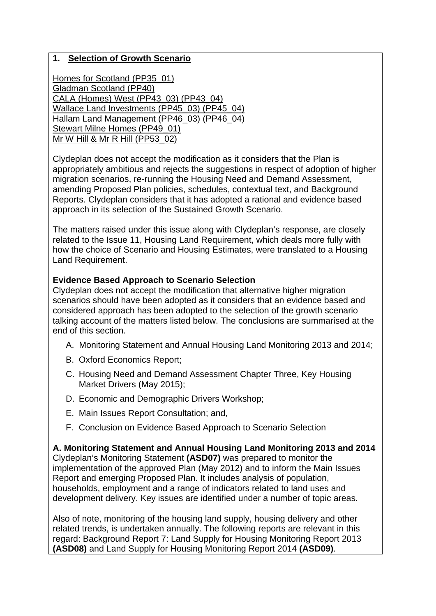### **1. Selection of Growth Scenario**

Homes for Scotland (PP35\_01) Gladman Scotland (PP40) CALA (Homes) West (PP43\_03) (PP43\_04) Wallace Land Investments (PP45\_03) (PP45\_04) Hallam Land Management (PP46\_03) (PP46\_04) Stewart Milne Homes (PP49\_01) Mr W Hill & Mr R Hill (PP53\_02)

Clydeplan does not accept the modification as it considers that the Plan is appropriately ambitious and rejects the suggestions in respect of adoption of higher migration scenarios, re-running the Housing Need and Demand Assessment, amending Proposed Plan policies, schedules, contextual text, and Background Reports. Clydeplan considers that it has adopted a rational and evidence based approach in its selection of the Sustained Growth Scenario.

The matters raised under this issue along with Clydeplan's response, are closely related to the Issue 11, Housing Land Requirement, which deals more fully with how the choice of Scenario and Housing Estimates, were translated to a Housing Land Requirement.

#### **Evidence Based Approach to Scenario Selection**

Clydeplan does not accept the modification that alternative higher migration scenarios should have been adopted as it considers that an evidence based and considered approach has been adopted to the selection of the growth scenario talking account of the matters listed below. The conclusions are summarised at the end of this section.

- A. Monitoring Statement and Annual Housing Land Monitoring 2013 and 2014;
- B. Oxford Economics Report;
- C. Housing Need and Demand Assessment Chapter Three, Key Housing Market Drivers (May 2015);
- D. Economic and Demographic Drivers Workshop;
- E. Main Issues Report Consultation; and,
- F. Conclusion on Evidence Based Approach to Scenario Selection

**A. Monitoring Statement and Annual Housing Land Monitoring 2013 and 2014**  Clydeplan's Monitoring Statement **(ASD07)** was prepared to monitor the implementation of the approved Plan (May 2012) and to inform the Main Issues Report and emerging Proposed Plan. It includes analysis of population, households, employment and a range of indicators related to land uses and development delivery. Key issues are identified under a number of topic areas.

Also of note, monitoring of the housing land supply, housing delivery and other related trends, is undertaken annually. The following reports are relevant in this regard: Background Report 7: Land Supply for Housing Monitoring Report 2013 **(ASD08)** and Land Supply for Housing Monitoring Report 2014 **(ASD09)**.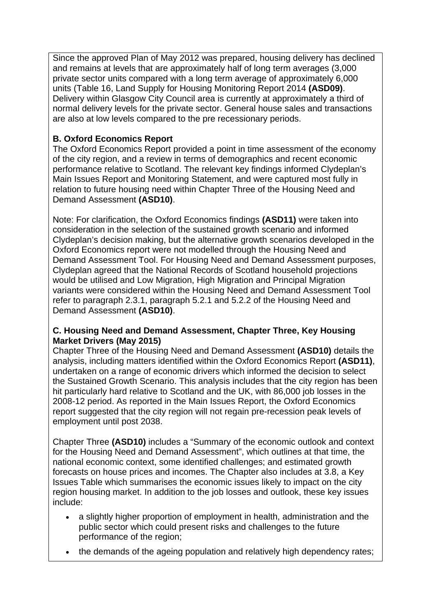Since the approved Plan of May 2012 was prepared, housing delivery has declined and remains at levels that are approximately half of long term averages (3,000 private sector units compared with a long term average of approximately 6,000 units (Table 16, Land Supply for Housing Monitoring Report 2014 **(ASD09)**. Delivery within Glasgow City Council area is currently at approximately a third of normal delivery levels for the private sector. General house sales and transactions are also at low levels compared to the pre recessionary periods.

# **B. Oxford Economics Report**

The Oxford Economics Report provided a point in time assessment of the economy of the city region, and a review in terms of demographics and recent economic performance relative to Scotland. The relevant key findings informed Clydeplan's Main Issues Report and Monitoring Statement, and were captured most fully in relation to future housing need within Chapter Three of the Housing Need and Demand Assessment **(ASD10)**.

Note: For clarification, the Oxford Economics findings **(ASD11)** were taken into consideration in the selection of the sustained growth scenario and informed Clydeplan's decision making, but the alternative growth scenarios developed in the Oxford Economics report were not modelled through the Housing Need and Demand Assessment Tool. For Housing Need and Demand Assessment purposes, Clydeplan agreed that the National Records of Scotland household projections would be utilised and Low Migration, High Migration and Principal Migration variants were considered within the Housing Need and Demand Assessment Tool refer to paragraph 2.3.1, paragraph 5.2.1 and 5.2.2 of the Housing Need and Demand Assessment **(ASD10)**.

### **C. Housing Need and Demand Assessment, Chapter Three, Key Housing Market Drivers (May 2015)**

Chapter Three of the Housing Need and Demand Assessment **(ASD10)** details the analysis, including matters identified within the Oxford Economics Report **(ASD11)**, undertaken on a range of economic drivers which informed the decision to select the Sustained Growth Scenario. This analysis includes that the city region has been hit particularly hard relative to Scotland and the UK, with 86,000 job losses in the 2008-12 period. As reported in the Main Issues Report, the Oxford Economics report suggested that the city region will not regain pre-recession peak levels of employment until post 2038.

Chapter Three **(ASD10)** includes a "Summary of the economic outlook and context for the Housing Need and Demand Assessment", which outlines at that time, the national economic context, some identified challenges; and estimated growth forecasts on house prices and incomes. The Chapter also includes at 3.8, a Key Issues Table which summarises the economic issues likely to impact on the city region housing market. In addition to the job losses and outlook, these key issues include:

- a slightly higher proportion of employment in health, administration and the public sector which could present risks and challenges to the future performance of the region;
- the demands of the ageing population and relatively high dependency rates;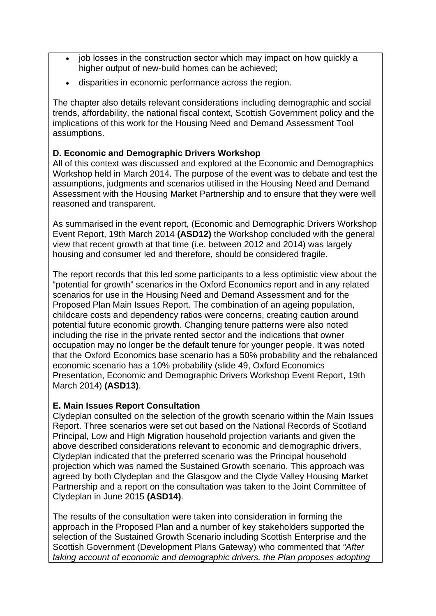- job losses in the construction sector which may impact on how quickly a higher output of new-build homes can be achieved;
- disparities in economic performance across the region.

The chapter also details relevant considerations including demographic and social trends, affordability, the national fiscal context, Scottish Government policy and the implications of this work for the Housing Need and Demand Assessment Tool assumptions.

# **D. Economic and Demographic Drivers Workshop**

All of this context was discussed and explored at the Economic and Demographics Workshop held in March 2014. The purpose of the event was to debate and test the assumptions, judgments and scenarios utilised in the Housing Need and Demand Assessment with the Housing Market Partnership and to ensure that they were well reasoned and transparent.

As summarised in the event report, (Economic and Demographic Drivers Workshop Event Report, 19th March 2014 **(ASD12)** the Workshop concluded with the general view that recent growth at that time (i.e. between 2012 and 2014) was largely housing and consumer led and therefore, should be considered fragile.

The report records that this led some participants to a less optimistic view about the "potential for growth" scenarios in the Oxford Economics report and in any related scenarios for use in the Housing Need and Demand Assessment and for the Proposed Plan Main Issues Report. The combination of an ageing population, childcare costs and dependency ratios were concerns, creating caution around potential future economic growth. Changing tenure patterns were also noted including the rise in the private rented sector and the indications that owner occupation may no longer be the default tenure for younger people. It was noted that the Oxford Economics base scenario has a 50% probability and the rebalanced economic scenario has a 10% probability (slide 49, Oxford Economics Presentation, Economic and Demographic Drivers Workshop Event Report, 19th March 2014) **(ASD13)**.

# **E. Main Issues Report Consultation**

Clydeplan consulted on the selection of the growth scenario within the Main Issues Report. Three scenarios were set out based on the National Records of Scotland Principal, Low and High Migration household projection variants and given the above described considerations relevant to economic and demographic drivers, Clydeplan indicated that the preferred scenario was the Principal household projection which was named the Sustained Growth scenario. This approach was agreed by both Clydeplan and the Glasgow and the Clyde Valley Housing Market Partnership and a report on the consultation was taken to the Joint Committee of Clydeplan in June 2015 **(ASD14)**.

The results of the consultation were taken into consideration in forming the approach in the Proposed Plan and a number of key stakeholders supported the selection of the Sustained Growth Scenario including Scottish Enterprise and the Scottish Government (Development Plans Gateway) who commented that *"After taking account of economic and demographic drivers, the Plan proposes adopting*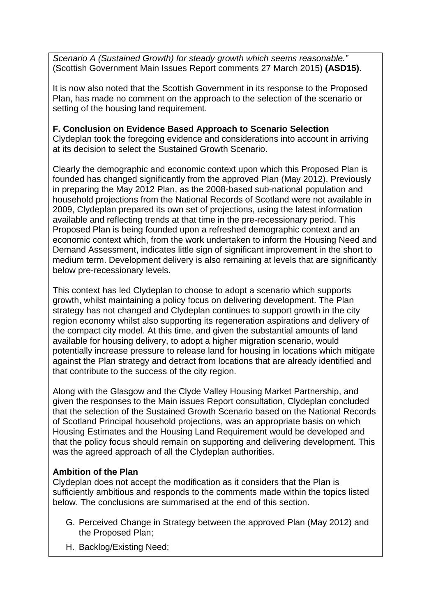*Scenario A (Sustained Growth) for steady growth which seems reasonable."* (Scottish Government Main Issues Report comments 27 March 2015) **(ASD15)**.

It is now also noted that the Scottish Government in its response to the Proposed Plan, has made no comment on the approach to the selection of the scenario or setting of the housing land requirement.

**F. Conclusion on Evidence Based Approach to Scenario Selection**  Clydeplan took the foregoing evidence and considerations into account in arriving at its decision to select the Sustained Growth Scenario.

Clearly the demographic and economic context upon which this Proposed Plan is founded has changed significantly from the approved Plan (May 2012). Previously in preparing the May 2012 Plan, as the 2008-based sub-national population and household projections from the National Records of Scotland were not available in 2009, Clydeplan prepared its own set of projections, using the latest information available and reflecting trends at that time in the pre-recessionary period. This Proposed Plan is being founded upon a refreshed demographic context and an economic context which, from the work undertaken to inform the Housing Need and Demand Assessment, indicates little sign of significant improvement in the short to medium term. Development delivery is also remaining at levels that are significantly below pre-recessionary levels.

This context has led Clydeplan to choose to adopt a scenario which supports growth, whilst maintaining a policy focus on delivering development. The Plan strategy has not changed and Clydeplan continues to support growth in the city region economy whilst also supporting its regeneration aspirations and delivery of the compact city model. At this time, and given the substantial amounts of land available for housing delivery, to adopt a higher migration scenario, would potentially increase pressure to release land for housing in locations which mitigate against the Plan strategy and detract from locations that are already identified and that contribute to the success of the city region.

Along with the Glasgow and the Clyde Valley Housing Market Partnership, and given the responses to the Main issues Report consultation, Clydeplan concluded that the selection of the Sustained Growth Scenario based on the National Records of Scotland Principal household projections, was an appropriate basis on which Housing Estimates and the Housing Land Requirement would be developed and that the policy focus should remain on supporting and delivering development. This was the agreed approach of all the Clydeplan authorities.

# **Ambition of the Plan**

Clydeplan does not accept the modification as it considers that the Plan is sufficiently ambitious and responds to the comments made within the topics listed below. The conclusions are summarised at the end of this section.

- G. Perceived Change in Strategy between the approved Plan (May 2012) and the Proposed Plan;
- H. Backlog/Existing Need;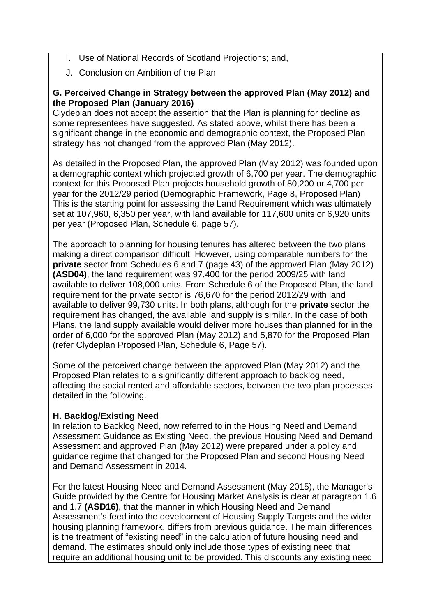- I. Use of National Records of Scotland Projections; and,
- J. Conclusion on Ambition of the Plan

### **G. Perceived Change in Strategy between the approved Plan (May 2012) and the Proposed Plan (January 2016)**

Clydeplan does not accept the assertion that the Plan is planning for decline as some representees have suggested. As stated above, whilst there has been a significant change in the economic and demographic context, the Proposed Plan strategy has not changed from the approved Plan (May 2012).

As detailed in the Proposed Plan, the approved Plan (May 2012) was founded upon a demographic context which projected growth of 6,700 per year. The demographic context for this Proposed Plan projects household growth of 80,200 or 4,700 per year for the 2012/29 period (Demographic Framework, Page 8, Proposed Plan) This is the starting point for assessing the Land Requirement which was ultimately set at 107,960, 6,350 per year, with land available for 117,600 units or 6,920 units per year (Proposed Plan, Schedule 6, page 57).

The approach to planning for housing tenures has altered between the two plans. making a direct comparison difficult. However, using comparable numbers for the **private** sector from Schedules 6 and 7 (page 43) of the approved Plan (May 2012) **(ASD04)**, the land requirement was 97,400 for the period 2009/25 with land available to deliver 108,000 units. From Schedule 6 of the Proposed Plan, the land requirement for the private sector is 76,670 for the period 2012/29 with land available to deliver 99,730 units. In both plans, although for the **private** sector the requirement has changed, the available land supply is similar. In the case of both Plans, the land supply available would deliver more houses than planned for in the order of 6,000 for the approved Plan (May 2012) and 5,870 for the Proposed Plan (refer Clydeplan Proposed Plan, Schedule 6, Page 57).

Some of the perceived change between the approved Plan (May 2012) and the Proposed Plan relates to a significantly different approach to backlog need, affecting the social rented and affordable sectors, between the two plan processes detailed in the following.

# **H. Backlog/Existing Need**

In relation to Backlog Need, now referred to in the Housing Need and Demand Assessment Guidance as Existing Need, the previous Housing Need and Demand Assessment and approved Plan (May 2012) were prepared under a policy and guidance regime that changed for the Proposed Plan and second Housing Need and Demand Assessment in 2014.

For the latest Housing Need and Demand Assessment (May 2015), the Manager's Guide provided by the Centre for Housing Market Analysis is clear at paragraph 1.6 and 1.7 **(ASD16)**, that the manner in which Housing Need and Demand Assessment's feed into the development of Housing Supply Targets and the wider housing planning framework, differs from previous guidance. The main differences is the treatment of "existing need" in the calculation of future housing need and demand. The estimates should only include those types of existing need that require an additional housing unit to be provided. This discounts any existing need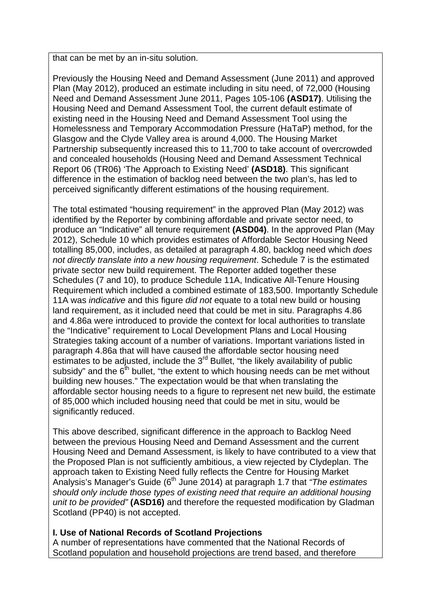that can be met by an in-situ solution.

Previously the Housing Need and Demand Assessment (June 2011) and approved Plan (May 2012), produced an estimate including in situ need, of 72,000 (Housing Need and Demand Assessment June 2011, Pages 105-106 **(ASD17)**. Utilising the Housing Need and Demand Assessment Tool, the current default estimate of existing need in the Housing Need and Demand Assessment Tool using the Homelessness and Temporary Accommodation Pressure (HaTaP) method, for the Glasgow and the Clyde Valley area is around 4,000. The Housing Market Partnership subsequently increased this to 11,700 to take account of overcrowded and concealed households (Housing Need and Demand Assessment Technical Report 06 (TR06) 'The Approach to Existing Need' **(ASD18)**. This significant difference in the estimation of backlog need between the two plan's, has led to perceived significantly different estimations of the housing requirement.

The total estimated "housing requirement" in the approved Plan (May 2012) was identified by the Reporter by combining affordable and private sector need, to produce an "Indicative" all tenure requirement **(ASD04)**. In the approved Plan (May 2012), Schedule 10 which provides estimates of Affordable Sector Housing Need totalling 85,000, includes, as detailed at paragraph 4.80, backlog need which *does not directly translate into a new housing requirement*. Schedule 7 is the estimated private sector new build requirement. The Reporter added together these Schedules (7 and 10), to produce Schedule 11A, Indicative All-Tenure Housing Requirement which included a combined estimate of 183,500. Importantly Schedule 11A was *indicative* and this figure *did not* equate to a total new build or housing land requirement, as it included need that could be met in situ. Paragraphs 4.86 and 4.86a were introduced to provide the context for local authorities to translate the "Indicative" requirement to Local Development Plans and Local Housing Strategies taking account of a number of variations. Important variations listed in paragraph 4.86a that will have caused the affordable sector housing need estimates to be adjusted, include the 3<sup>rd</sup> Bullet, "the likely availability of public subsidy" and the  $6<sup>th</sup>$  bullet, "the extent to which housing needs can be met without building new houses." The expectation would be that when translating the affordable sector housing needs to a figure to represent net new build, the estimate of 85,000 which included housing need that could be met in situ, would be significantly reduced.

This above described, significant difference in the approach to Backlog Need between the previous Housing Need and Demand Assessment and the current Housing Need and Demand Assessment, is likely to have contributed to a view that the Proposed Plan is not sufficiently ambitious, a view rejected by Clydeplan. The approach taken to Existing Need fully reflects the Centre for Housing Market Analysis's Manager's Guide (6<sup>th</sup> June 2014) at paragraph 1.7 that *"The estimates should only include those types of existing need that require an additional housing unit to be provided"* **(ASD16)** and therefore the requested modification by Gladman Scotland (PP40) is not accepted.

# **I. Use of National Records of Scotland Projections**

A number of representations have commented that the National Records of Scotland population and household projections are trend based, and therefore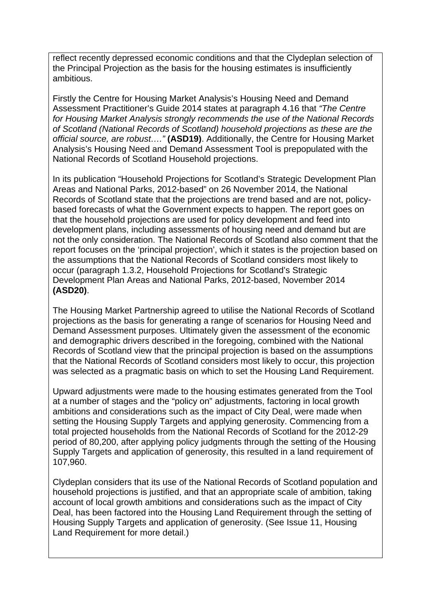reflect recently depressed economic conditions and that the Clydeplan selection of the Principal Projection as the basis for the housing estimates is insufficiently ambitious.

Firstly the Centre for Housing Market Analysis's Housing Need and Demand Assessment Practitioner's Guide 2014 states at paragraph 4.16 that *"The Centre for Housing Market Analysis strongly recommends the use of the National Records of Scotland (National Records of Scotland) household projections as these are the official source, are robust…."* **(ASD19)**. Additionally, the Centre for Housing Market Analysis's Housing Need and Demand Assessment Tool is prepopulated with the National Records of Scotland Household projections.

In its publication "Household Projections for Scotland's Strategic Development Plan Areas and National Parks, 2012-based" on 26 November 2014, the National Records of Scotland state that the projections are trend based and are not, policybased forecasts of what the Government expects to happen. The report goes on that the household projections are used for policy development and feed into development plans, including assessments of housing need and demand but are not the only consideration. The National Records of Scotland also comment that the report focuses on the 'principal projection', which it states is the projection based on the assumptions that the National Records of Scotland considers most likely to occur (paragraph 1.3.2, Household Projections for Scotland's Strategic Development Plan Areas and National Parks, 2012-based, November 2014 **(ASD20)**.

The Housing Market Partnership agreed to utilise the National Records of Scotland projections as the basis for generating a range of scenarios for Housing Need and Demand Assessment purposes. Ultimately given the assessment of the economic and demographic drivers described in the foregoing, combined with the National Records of Scotland view that the principal projection is based on the assumptions that the National Records of Scotland considers most likely to occur, this projection was selected as a pragmatic basis on which to set the Housing Land Requirement.

Upward adjustments were made to the housing estimates generated from the Tool at a number of stages and the "policy on" adjustments, factoring in local growth ambitions and considerations such as the impact of City Deal, were made when setting the Housing Supply Targets and applying generosity. Commencing from a total projected households from the National Records of Scotland for the 2012-29 period of 80,200, after applying policy judgments through the setting of the Housing Supply Targets and application of generosity, this resulted in a land requirement of 107,960.

Clydeplan considers that its use of the National Records of Scotland population and household projections is justified, and that an appropriate scale of ambition, taking account of local growth ambitions and considerations such as the impact of City Deal, has been factored into the Housing Land Requirement through the setting of Housing Supply Targets and application of generosity. (See Issue 11, Housing Land Requirement for more detail.)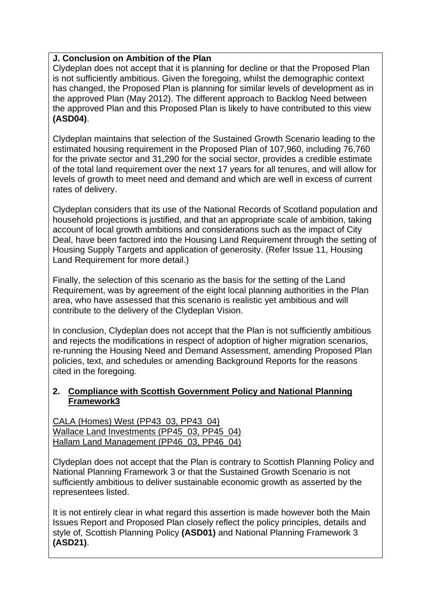### **J. Conclusion on Ambition of the Plan**

Clydeplan does not accept that it is planning for decline or that the Proposed Plan is not sufficiently ambitious. Given the foregoing, whilst the demographic context has changed, the Proposed Plan is planning for similar levels of development as in the approved Plan (May 2012). The different approach to Backlog Need between the approved Plan and this Proposed Plan is likely to have contributed to this view **(ASD04)**.

Clydeplan maintains that selection of the Sustained Growth Scenario leading to the estimated housing requirement in the Proposed Plan of 107,960, including 76,760 for the private sector and 31,290 for the social sector, provides a credible estimate of the total land requirement over the next 17 years for all tenures, and will allow for levels of growth to meet need and demand and which are well in excess of current rates of delivery.

Clydeplan considers that its use of the National Records of Scotland population and household projections is justified, and that an appropriate scale of ambition, taking account of local growth ambitions and considerations such as the impact of City Deal, have been factored into the Housing Land Requirement through the setting of Housing Supply Targets and application of generosity. (Refer Issue 11, Housing Land Requirement for more detail.)

Finally, the selection of this scenario as the basis for the setting of the Land Requirement, was by agreement of the eight local planning authorities in the Plan area, who have assessed that this scenario is realistic yet ambitious and will contribute to the delivery of the Clydeplan Vision.

In conclusion, Clydeplan does not accept that the Plan is not sufficiently ambitious and rejects the modifications in respect of adoption of higher migration scenarios, re-running the Housing Need and Demand Assessment, amending Proposed Plan policies, text, and schedules or amending Background Reports for the reasons cited in the foregoing.

### **2. Compliance with Scottish Government Policy and National Planning Framework3**

CALA (Homes) West (PP43\_03, PP43\_04) Wallace Land Investments (PP45\_03, PP45\_04) Hallam Land Management (PP46\_03, PP46\_04)

Clydeplan does not accept that the Plan is contrary to Scottish Planning Policy and National Planning Framework 3 or that the Sustained Growth Scenario is not sufficiently ambitious to deliver sustainable economic growth as asserted by the representees listed.

It is not entirely clear in what regard this assertion is made however both the Main Issues Report and Proposed Plan closely reflect the policy principles, details and style of, Scottish Planning Policy **(ASD01)** and National Planning Framework 3 **(ASD21)**.